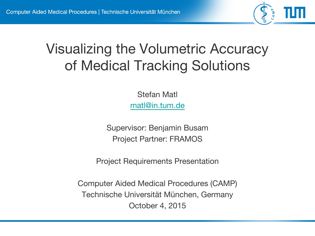

# Visualizing the Volumetric Accuracy of Medical Tracking Solutions

Stefan Matl [matl@in.tum.de](mailto:matl@in.tum.de)

Supervisor: Benjamin Busam Project Partner: FRAMOS

Project Requirements Presentation

Computer Aided Medical Procedures (CAMP) Technische Universität München, Germany October 4, 2015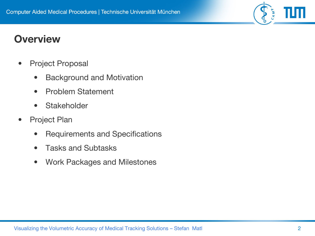### **Overview**

- Project Proposal
	- Background and Motivation
	- Problem Statement
	- Stakeholder
- Project Plan
	- Requirements and Specifications
	- Tasks and Subtasks
	- Work Packages and Milestones

CAMP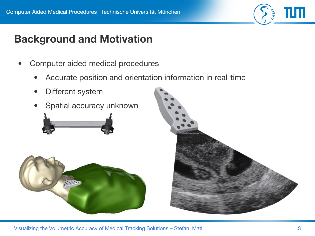

## **Background and Motivation**

- Computer aided medical procedures
	- Accurate position and orientation information in real-time
	- Different system
	- Spatial accuracy unknown





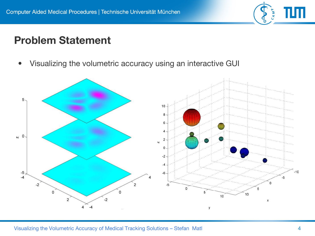

### **Problem Statement**

• Visualizing the volumetric accuracy using an interactive GUI

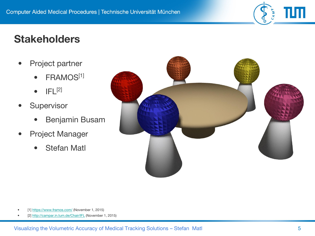

### **Stakeholders**

- Project partner
	- FRAMOS<sup>[1]</sup>
	- $\bullet$  IFL $^{[2]}$
- **Supervisor** 
	- Benjamin Busam
- Project Manager
	- Stefan Matl



- [1] <https://www.framos.com/> (November 1, 2015)
- [2] <http://campar.in.tum.de/Chair/IFL>(November 1, 2015)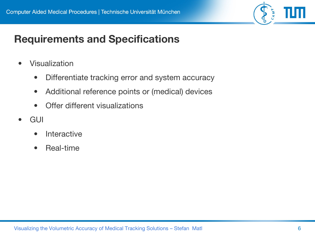

## **Requirements and Specifications**

- Visualization
	- Differentiate tracking error and system accuracy
	- Additional reference points or (medical) devices
	- Offer different visualizations
- GUI
	- **Interactive**
	- Real-time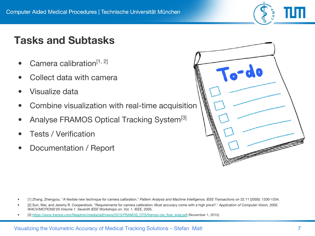

## **Tasks and Subtasks**

- Camera calibration<sup>[1, 2]</sup>
- Collect data with camera
- Visualize data
- Combine visualization with real-time acquisition
- Analyse FRAMOS Optical Tracking System<sup>[3]</sup>
- Tests / Verification
- Documentation / Report



- [1] Zhang, Zhengyou. "A flexible new technique for camera calibration." *Pattern Analysis and Machine Intelligence, IEEE Transactions on* 22.11 (2000): 1330-1334.
- [2] Sun, Wei, and Jeremy R. Cooperstock. "Requirements for camera calibration: Must accuracy come with a high price?." *Application of Computer Vision, 2005. WACV/MOTIONS'05 Volume 1. Seventh IEEE Workshops on*. Vol. 1. IEEE, 2005.
- [3] [https://www.framos.com/fileadmin/media/pdf/news/2015/FRAMOS\\_OTS/framos-ots\\_flyer\\_engl.pdf](https://www.framos.com/fileadmin/media/pdf/news/2015/FRAMOS_OTS/framos-ots_flyer_engl.pdf) (November 1, 2015)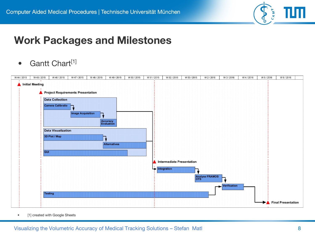

#### **Work Packages and Milestones**

• Gantt Chart<sup>[1]</sup>



• [1] created with Google Sheets